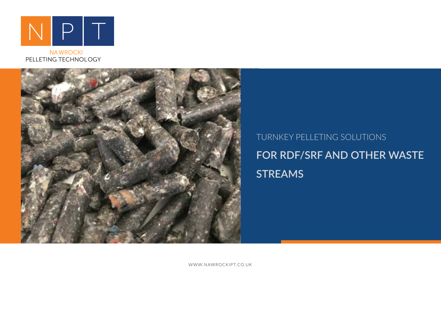

NAWROCKI PELLETING TECHNOLOGY



# TURNKEY PELLETING SOLUTIONS **FOR RDF/SRF AND OTHER WASTE STREAMS**

WWW.NAWROCKIPT.CO.UK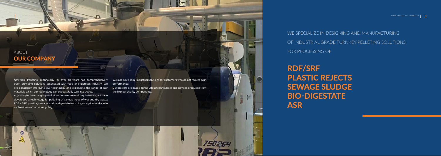WE SPECIALIZE IN DESIGNING AND MANUFACTURING OF INDUSTRIAL GRADE TURNKEY PELLETING SOLUTIONS, FOR PROCESSING OF

RDF/SRF PLASTIC REJECTS SEWAGE SLUDGE BIO-DIGESTATE ASR

Nawrocki Pelleting Technology for over 20 years has comprehensively been providing solutions associated with feed and biomass industry. We are constantly improving our technology and expanding the range of raw materials which our technology can successfully turn into pellets .

# ABOUT **OUR COMPANY**

Adjusting to the changing market and environmental requirements, we have developed a technology for pelleting of various types of wet and dry waste: RDF / SRF, plastics, sewage sludge, digestate from biogas, agricultural waste and residues after car recycling.

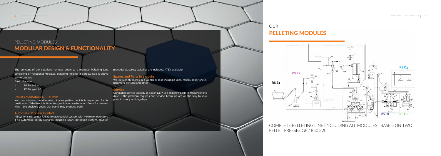The concept of our solutions narrows down to a modular Pelleting Line procedures, safety switches are included. ATEX available. consisting of functional Modules: pelleting, milling (if particle size is above 20mm), mixing,

Basic Modules

- RS.B1: 6-8 t/h
- RS.B2: 9-12 t/h

#### **Pellets diameters: 6, 8, 16mm**

You can choose the diameter of your pellets, which is important for its destination. Whether it is 6mm for gasification systems or 16mm for cement kilns – the choice is yours. Our plants may produce both.

We deliver all spares in 2 weeks or less including dies, rollers, roller shells, hammers, sensors and other.

#### **Automatic Process Control**

All systems run under full automatic control system with minimum operators. T he automatic safety features including spark detection system, shut-off

# **OUR** PELLETING MODULES

#### **Spares and Parts in 2 weeks**

#### **Service**

Our global service is ready to action 24/7. We ship new parts in max 2 working days. If the problem requires our Service Team we are on the way to your plant in max 3 working days.

# PELLETING MODULES MODULAR DESIGN & FUNCTIONALITY

COMPLETE PELLETING LINE (INCLUDING ALL MODULES), BASED ON TWO PELLET PRESSES GR2 850.320

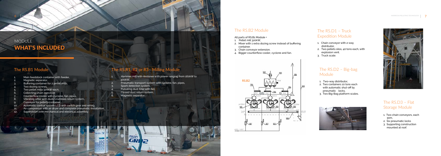#### The RS.B2 Module

#### All parts of RS.B1 Module +

- 1. Pellet mill 320kW,
- 2. Mixer with 1 extra dozing screw instead of buffering container.
- 3. Chain conveyor extension.
- 4. Bigger counterflow cooler, cyclone and fan.

### The RS.D2 – Big-bag Module

# **MODULES** WHAT'S INCLUDED

- 1. Two-way distributor,
- 2. Two containers 10 tons each with automatic shut-off by pneumatic locks,
- 3. Two Big-Bag platform scales.





## The RS.D3 – Flat Storage Module

- 1. Two chain conveyors, each 30m,
- 2. Six pneumatic locks
- 3. Supporting construction mounted at roof.
- Main feedstock container with feeder,
- Magnetic separator,
- Buffering container for 2 pellet mills,
- Two dozing screws,
- Two pellet mills 320kW each,
- Collecting chain conveyor,
- 7. Counterflow cooler with cyclone, fan, pipes,
- 8. Vibrating sifter with dust/crumbles return system,
- 9. Conveyor for pellets container,
- 10. Automatic control system LCD with switch gear and wiring,
- 11. Air compressor with air dryer and complete pneumatic installation,
- 12. Supervision over mechanical and electrical assembly.

## The RS.B1 Module

## The RS.R1, R2 or R3– Milling Module

- 1. Hammer mill with destoner with power ranging from 160kW to 400kW,
- Pneumatic transport system with cyclone, fan, pipes,
- Spark detection system,
- Pulsating dust filter with fan,
- 5. Closed dust return system,

 $\overline{GR}$ <sub>2</sub>

Magnetic separator.

## The RS.D1 – Truck Expedition Module

- 1. Chain conveyor with 2-way distributor,
- 2. Two pellets silos, 40 tons each, with explosion vent.
- 3. Truck scale.

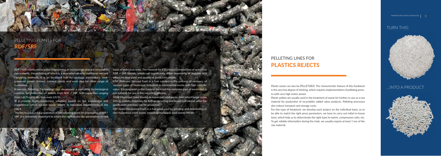...INTO A PRODUCT Plastic waste can also be PELLETIZED. The characteristic feature of this feedstock is the very low degree of sticking, which requires implementation of pelleting presses with very high motor power.

Plastic pellets are usually used in the treatment of waste for further re-use as a raw material for production of recyclables added value products. Pelleting processes also reduce transport and storage costs.

RDF / SRF combustible waste is becoming an increasingly popular recyclable raw material, the pelleting of which is a new alternative to traditional reecent r ecycling methods. It is an excellent fuel for garbage incinerators, coalp owered power stations, cement plants and soon also for other range of customers.

> For this type of feedstock, we develop each project on the individual basis, as to be able to match the right press parameters, we have to carry out initial in-house tests, which help us to determinate the right type fo matrix, compression ratio, etc. To get reliable information during the trials, we usually require at least 1 ton of the raw material.



# PELLETING PLANTS FOR RDF/SRF

basis of individual tests. The reaason for it is phisical composition of individual RDF / SRF blends, which can significantly differ depending of supplier and affect the final yield and quality of produced pellets.

# PELLETING LINES FOR PLASTICS REJECTS

SRF (Solid Recovered Fuel) is a fuel produced by grinding and dewatering of non-hazardous solid waste, including municipal solid waste (MSW).



## TURN THIS:



N awrocki Pelleting Technology has developed a complete technological s olution for production of pellets from RDF / SRF, with capacities ranging not suitable for use in the recycling process. from 1.5t/h up to 18t/h or even 27t/h.

W e provide highly-productive solutions based on our knowledge and e xperience, which we can eaisly tailore to individual requirements of the client.

The key to a successful operation of the pelleting plant for processing of RDF/ SRF, it is extremely important to select the right matrix die parameters on the

RDF (Refused Derived Fuel) is a fuel created in the process of recovery of various types of municipal, industrial or commercial waste with high calorific value. It is prepared on the basis of the most troublesome part of waste that is

MSW (Municipal Solid Waste), ie municipal solid waste, from which large-scale energy pellets, materials for further recycling and liquid fuel (diesel, after the gasification process) can be produced.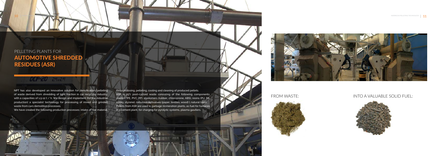# PELLETING PLANTS FOR AUTOMOTIVE SHREDDED RESIDUES (ASR)

## $OCP - 20$   $24.24$

NPT has also developed an innovative solution for densification/pelleting of waste derived from shredding of light fraction in car recycling industry, with a capacities of  $1.5$ -12 t / h. We design and implement (for the industrial production) a specialist technology for processing of mixed and grinded waste from cars demolition processes.

We have created the following production processes: intake of raw material,

through dosing, pelleting, cooling and cleaning of produced pellets. ASR is 25% post-cycloid waste consisting of the following components: plastics (PE, PVC, PP), elastomers (rubber, chloroprene, ABS), resins (PU, PA, epoxy, styrene), cellulose derivatives (paper, textiles, wood) ), natural (skin). Pellets from ASR are used in garbage incineration plants, as fuel for furnaces in a cement plant, for charging for pyrolytic systems, plasma gasifiers.





### FROM WASTE: INTO A VALUABLE SOLID FUEL:



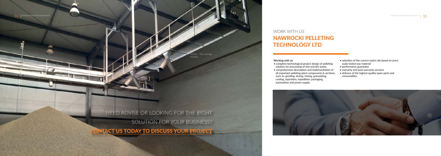**Working with us:**

- complete technological project design of pelleting solution for processing of wet and dry waste,
- comprehensive description and implementation of all important pelleting plant components & sections, such as: grinding, drying, mixing, granulating, cooling, aspiration, expedition, packaging, automation and power supply
- selection of the correct matrix die based on previ ously tested raw material
- performance guarantee
- warranty and post-warranty services
- delivery of the highest quality spare parts and consumables.



NEED ADVISE OR LOOKING FOR THE RIGHT SOLUTION FOR YOUR BUSINESS? TACT US TODAY TO DISCUSS YOUR PROJECT

# WORK WITH US NAWROCKI PELLETING TECHNOLOGY LTD

RS.D3 – Flat storage module